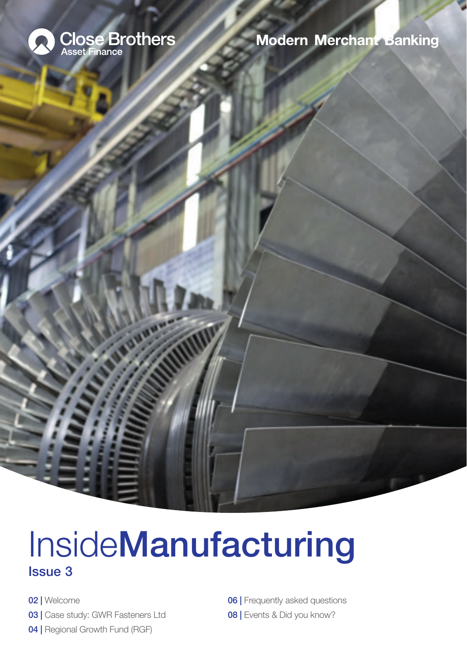

**Modern Merchant Banking** 

# **InsideManufacturing** Issue 3

**WWW** 

02 | Welcome 03 | Case study: GWR Fasteners Ltd 04 | Regional Growth Fund (RGF)

**06 | Frequently asked questions** 08 | Events & Did you know?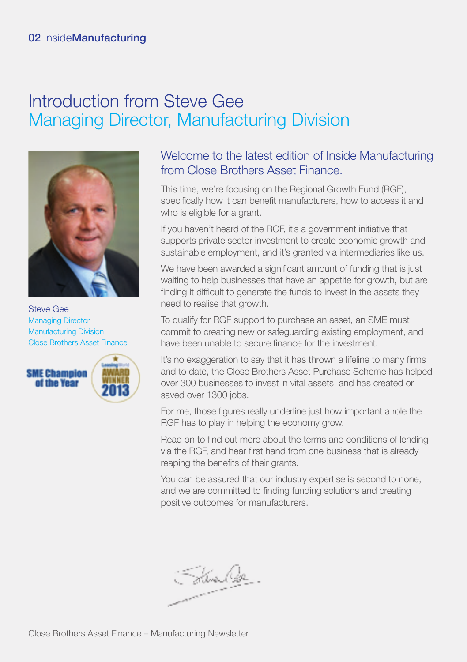# Introduction from Steve Gee Managing Director, Manufacturing Division



Steve Gee Managing Director Manufacturing Division Close Brothers Asset Finance



# Welcome to the latest edition of Inside Manufacturing from Close Brothers Asset Finance.

This time, we're focusing on the Regional Growth Fund (RGF), specifically how it can benefit manufacturers, how to access it and who is eligible for a grant.

If you haven't heard of the RGF, it's a government initiative that supports private sector investment to create economic growth and sustainable employment, and it's granted via intermediaries like us.

We have been awarded a significant amount of funding that is just waiting to help businesses that have an appetite for growth, but are finding it difficult to generate the funds to invest in the assets they need to realise that growth.

To qualify for RGF support to purchase an asset, an SME must commit to creating new or safeguarding existing employment, and have been unable to secure finance for the investment.

It's no exaggeration to say that it has thrown a lifeline to many firms and to date, the Close Brothers Asset Purchase Scheme has helped over 300 businesses to invest in vital assets, and has created or saved over 1300 jobs.

For me, those figures really underline just how important a role the RGF has to play in helping the economy grow.

Read on to find out more about the terms and conditions of lending via the RGF, and hear first hand from one business that is already reaping the benefits of their grants.

You can be assured that our industry expertise is second to none, and we are committed to finding funding solutions and creating positive outcomes for manufacturers.

Here Ost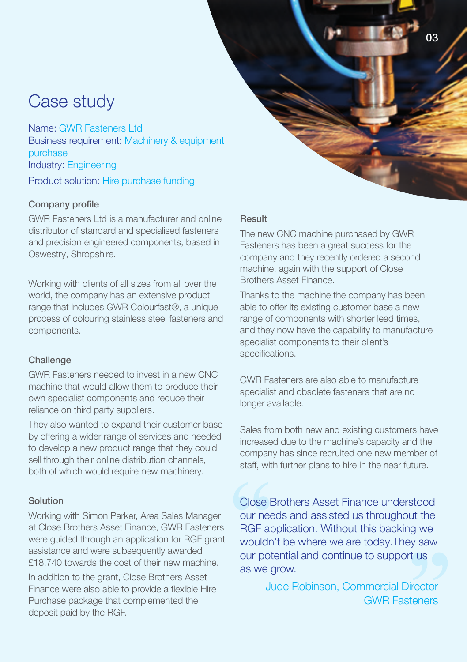# Case study

Name: GWR Fasteners Ltd. Business requirement: Machinery & equipment purchase Industry: Engineering Product solution: Hire purchase funding

# Company profile

GWR Fasteners Ltd is a manufacturer and online distributor of standard and specialised fasteners and precision engineered components, based in Oswestry, Shropshire.

Working with clients of all sizes from all over the world, the company has an extensive product range that includes GWR Colourfast®, a unique process of colouring stainless steel fasteners and components.

# **Challenge**

GWR Fasteners needed to invest in a new CNC machine that would allow them to produce their own specialist components and reduce their reliance on third party suppliers.

They also wanted to expand their customer base by offering a wider range of services and needed to develop a new product range that they could sell through their online distribution channels, both of which would require new machinery.

# Solution

Working with Simon Parker, Area Sales Manager at Close Brothers Asset Finance, GWR Fasteners were guided through an application for RGF grant assistance and were subsequently awarded £18,740 towards the cost of their new machine.

In addition to the grant, Close Brothers Asset Finance were also able to provide a flexible Hire Purchase package that complemented the deposit paid by the RGF.

# Result

The new CNC machine purchased by GWR Fasteners has been a great success for the company and they recently ordered a second machine, again with the support of Close Brothers Asset Finance.

Thanks to the machine the company has been able to offer its existing customer base a new range of components with shorter lead times, and they now have the capability to manufacture specialist components to their client's specifications.

GWR Fasteners are also able to manufacture specialist and obsolete fasteners that are no longer available.

Sales from both new and existing customers have increased due to the machine's capacity and the company has since recruited one new member of staff, with further plans to hire in the near future.

Close Brothers Asset Finance understood our needs and assisted us throughout the RGF application. Without this backing we wouldn't be where we are today.They saw our potential and continue to support us as we grow.

> Jude Robinson, Commercial Director GWR Fasteners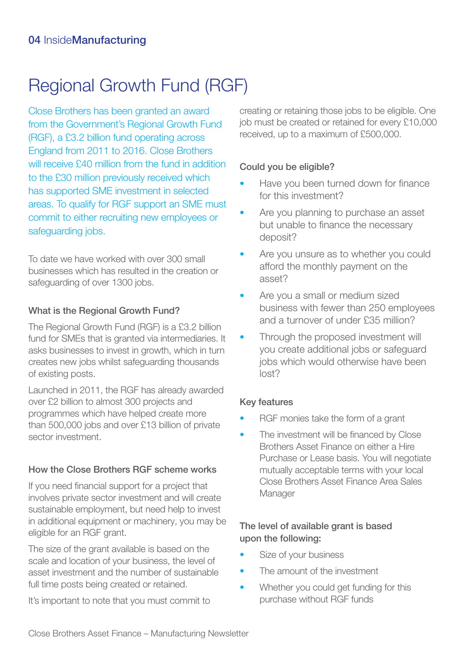# Regional Growth Fund (RGF)

Close Brothers has been granted an award from the Government's Regional Growth Fund (RGF), a £3.2 billion fund operating across England from 2011 to 2016. Close Brothers will receive £40 million from the fund in addition to the £30 million previously received which has supported SME investment in selected areas. To qualify for RGF support an SME must commit to either recruiting new employees or safequarding jobs.

To date we have worked with over 300 small businesses which has resulted in the creation or safeguarding of over 1300 jobs.

# What is the Regional Growth Fund?

The Regional Growth Fund (RGF) is a £3.2 billion fund for SMEs that is granted via intermediaries. It asks businesses to invest in growth, which in turn creates new jobs whilst safeguarding thousands of existing posts.

Launched in 2011, the RGF has already awarded over £2 billion to almost 300 projects and programmes which have helped create more than 500,000 jobs and over £13 billion of private sector investment.

# How the Close Brothers RGF scheme works

If you need financial support for a project that involves private sector investment and will create sustainable employment, but need help to invest in additional equipment or machinery, you may be eligible for an RGF grant.

The size of the grant available is based on the scale and location of your business, the level of asset investment and the number of sustainable full time posts being created or retained.

It's important to note that you must commit to

creating or retaining those jobs to be eligible. One job must be created or retained for every £10,000 received, up to a maximum of £500,000.

# Could you be eligible?

- Have you been turned down for finance for this investment?
- Are you planning to purchase an asset but unable to finance the necessary deposit?
- Are you unsure as to whether you could afford the monthly payment on the asset?
- Are you a small or medium sized business with fewer than 250 employees and a turnover of under £35 million?
- Through the proposed investment will you create additional jobs or safeguard jobs which would otherwise have been lost?

# Key features

- RGF monies take the form of a grant
- The investment will be financed by Close Brothers Asset Finance on either a Hire Purchase or Lease basis. You will negotiate mutually acceptable terms with your local Close Brothers Asset Finance Area Sales Manager

# The level of available grant is based upon the following:

- Size of your business
- The amount of the investment
- Whether you could get funding for this purchase without RGF funds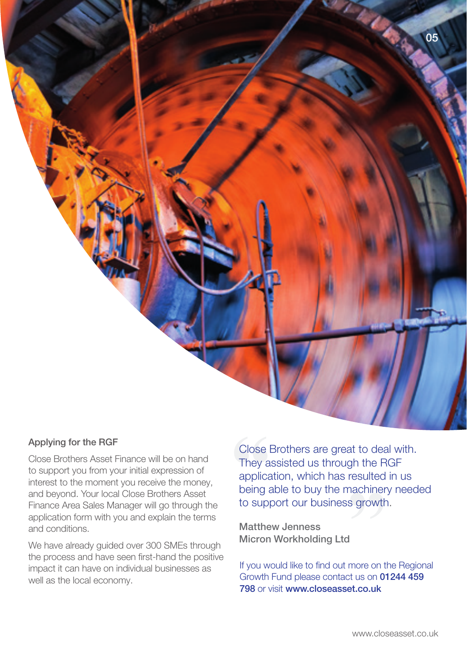#### Applying for the RGF

Close Brothers Asset Finance will be on hand to support you from your initial expression of interest to the moment you receive the money, and beyond. Your local Close Brothers Asset Finance Area Sales Manager will go through the application form with you and explain the terms and conditions.

We have already guided over 300 SMEs through the process and have seen first-hand the positive impact it can have on individual businesses as well as the local economy.

Close Brothers are great to deal with. They assisted us through the RGF application, which has resulted in us being able to buy the machinery needed to support our business growth.

Matthew Jenness Micron Workholding Ltd

If you would like to find out more on the Regional Growth Fund please contact us on 01244 459 798 or visit www.closeasset.co.uk

05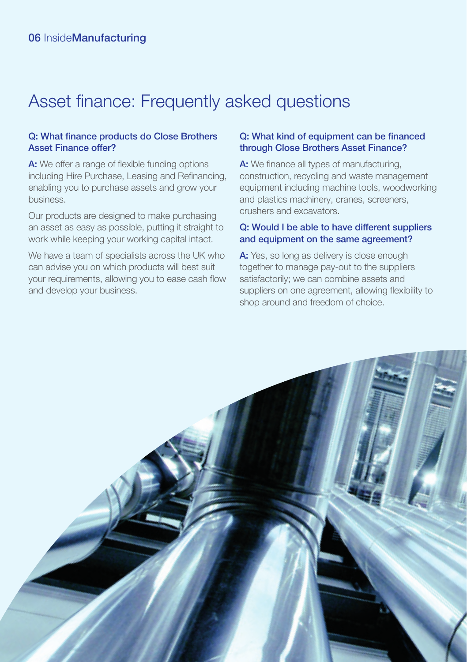# Asset finance: Frequently asked questions

# Q: What finance products do Close Brothers Asset Finance offer?

A: We offer a range of flexible funding options including Hire Purchase, Leasing and Refinancing, enabling you to purchase assets and grow your business.

Our products are designed to make purchasing an asset as easy as possible, putting it straight to work while keeping your working capital intact.

We have a team of specialists across the UK who can advise you on which products will best suit your requirements, allowing you to ease cash flow and develop your business.

#### Q: What kind of equipment can be financed through Close Brothers Asset Finance?

A: We finance all types of manufacturing, construction, recycling and waste management equipment including machine tools, woodworking and plastics machinery, cranes, screeners, crushers and excavators.

### Q: Would I be able to have different suppliers and equipment on the same agreement?

A: Yes, so long as delivery is close enough together to manage pay-out to the suppliers satisfactorily; we can combine assets and suppliers on one agreement, allowing flexibility to shop around and freedom of choice.

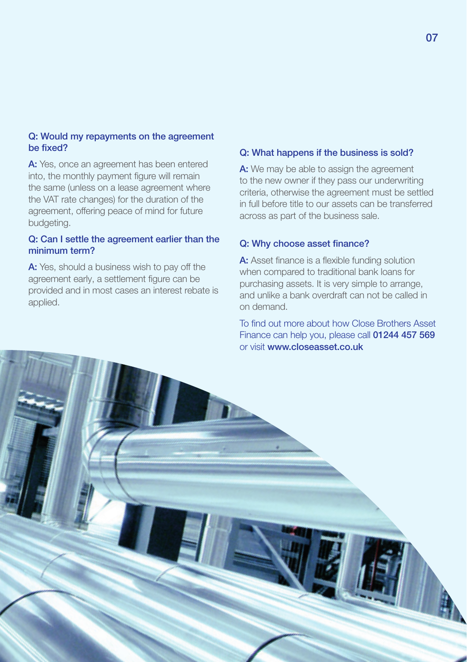### Q: Would my repayments on the agreement be fixed?

A: Yes, once an agreement has been entered into, the monthly payment figure will remain the same (unless on a lease agreement where the VAT rate changes) for the duration of the agreement, offering peace of mind for future budgeting.

# Q: Can I settle the agreement earlier than the minimum term?

A: Yes, should a business wish to pay off the agreement early, a settlement figure can be provided and in most cases an interest rebate is applied.

#### Q: What happens if the business is sold?

A: We may be able to assign the agreement to the new owner if they pass our underwriting criteria, otherwise the agreement must be settled in full before title to our assets can be transferred across as part of the business sale.

#### Q: Why choose asset finance?

A: Asset finance is a flexible funding solution when compared to traditional bank loans for purchasing assets. It is very simple to arrange, and unlike a bank overdraft can not be called in on demand.

To find out more about how Close Brothers Asset Finance can help you, please call 01244 457 569 or visit www.closeasset.co.uk